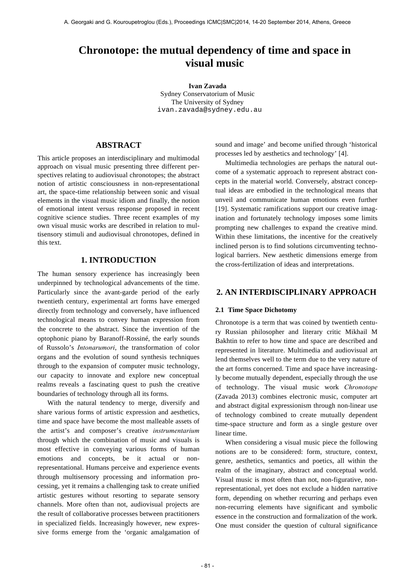# **Chronotope: the mutual dependency of time and space in visual music**

**Ivan Zavada** Sydney Conservatorium of Music The University of Sydney ivan.zavada@sydney.edu.au

## **ABSTRACT**

This article proposes an interdisciplinary and multimodal approach on visual music presenting three different perspectives relating to audiovisual chronotopes; the abstract notion of artistic consciousness in non-representational art, the space-time relationship between sonic and visual elements in the visual music idiom and finally, the notion of emotional intent versus response proposed in recent cognitive science studies. Three recent examples of my own visual music works are described in relation to multisensory stimuli and audiovisual chronotopes, defined in this text.

## **1. INTRODUCTION**

The human sensory experience has increasingly been underpinned by technological advancements of the time. Particularly since the avant-garde period of the early twentieth century, experimental art forms have emerged directly from technology and conversely, have influenced technological means to convey human expression from the concrete to the abstract. Since the invention of the optophonic piano by Baranoff-Rossiné, the early sounds of Russolo's *Intonarumori*, the transformation of color organs and the evolution of sound synthesis techniques through to the expansion of computer music technology, our capacity to innovate and explore new conceptual realms reveals a fascinating quest to push the creative boundaries of technology through all its forms.

With the natural tendency to merge, diversify and share various forms of artistic expression and aesthetics, time and space have become the most malleable assets of the artist's and composer's creative *instrumentarium* through which the combination of music and visuals is most effective in conveying various forms of human emotions and concepts, be it actual or nonrepresentational. Humans perceive and experience events through multisensory processing and information processing, yet it remains a challenging task to create unified artistic gestures without resorting to separate sensory channels. More often than not, audiovisual projects are the result of collaborative processes between practitioners in specialized fields. Increasingly however, new expressive forms emerge from the 'organic amalgamation of sound and image' and become unified through 'historical processes led by aesthetics and technology' [4].

Multimedia technologies are perhaps the natural outcome of a systematic approach to represent abstract concepts in the material world. Conversely, abstract conceptual ideas are embodied in the technological means that unveil and communicate human emotions even further [19]. Systematic ramifications support our creative imagination and fortunately technology imposes some limits prompting new challenges to expand the creative mind. Within these limitations, the incentive for the creatively inclined person is to find solutions circumventing technological barriers. New aesthetic dimensions emerge from the cross-fertilization of ideas and interpretations.

### **2. AN INTERDISCIPLINARY APPROACH**

### **2.1 Time Space Dichotomy**

Chronotope is a term that was coined by twentieth century Russian philosopher and literary critic Mikhail M Bakhtin to refer to how time and space are described and represented in literature. Multimedia and audiovisual art lend themselves well to the term due to the very nature of the art forms concerned. Time and space have increasingly become mutually dependent, especially through the use of technology. The visual music work *Chronotope* (Zavada 2013) combines electronic music, computer art and abstract digital expressionism through non-linear use of technology combined to create mutually dependent time-space structure and form as a single gesture over linear time.

When considering a visual music piece the following notions are to be considered: form, structure, context, genre, aesthetics, semantics and poetics, all within the realm of the imaginary, abstract and conceptual world. Visual music is most often than not, non-figurative, nonrepresentational, yet does not exclude a hidden narrative form, depending on whether recurring and perhaps even non-recurring elements have significant and symbolic essence in the construction and formalization of the work. One must consider the question of cultural significance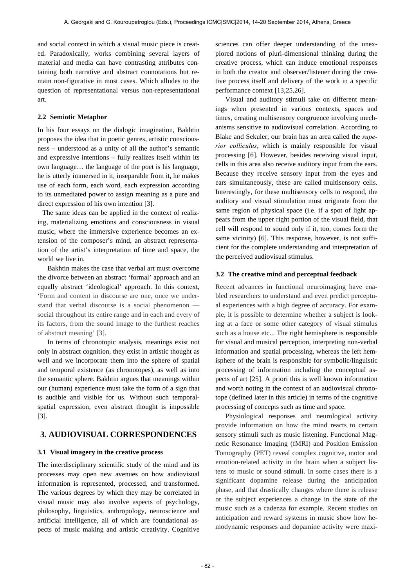and social context in which a visual music piece is created. Paradoxically, works combining several layers of material and media can have contrasting attributes containing both narrative and abstract connotations but remain non-figurative in most cases. Which alludes to the question of representational versus non-representational art.

#### **2.2 Semiotic Metaphor**

In his four essays on the dialogic imagination, Bakhtin proposes the idea that in poetic genres, artistic consciousness – understood as a unity of all the author's semantic and expressive intentions – fully realizes itself within its own language… the language of the poet is his language, he is utterly immersed in it, inseparable from it, he makes use of each form, each word, each expression according to its unmediated power to assign meaning as a pure and direct expression of his own intention [3].

The same ideas can be applied in the context of realizing, materializing emotions and consciousness in visual music, where the immersive experience becomes an extension of the composer's mind, an abstract representation of the artist's interpretation of time and space, the world we live in.

Bakhtin makes the case that verbal art must overcome the divorce between an abstract 'formal' approach and an equally abstract 'ideological' approach. In this context, 'Form and content in discourse are one, once we understand that verbal discourse is a social phenomenon social throughout its entire range and in each and every of its factors, from the sound image to the furthest reaches of abstract meaning' [3].

In terms of chronotopic analysis, meanings exist not only in abstract cognition, they exist in artistic thought as well and we incorporate them into the sphere of spatial and temporal existence (as chronotopes), as well as into the semantic sphere. Bakhtin argues that meanings within our (human) experience must take the form of a sign that is audible and visible for us. Without such temporalspatial expression, even abstract thought is impossible [3].

## **3. AUDIOVISUAL CORRESPONDENCES**

#### **3.1 Visual imagery in the creative process**

The interdisciplinary scientific study of the mind and its processes may open new avenues on how audiovisual information is represented, processed, and transformed. The various degrees by which they may be correlated in visual music may also involve aspects of psychology, philosophy, linguistics, anthropology, neuroscience and artificial intelligence, all of which are foundational aspects of music making and artistic creativity. Cognitive sciences can offer deeper understanding of the unexplored notions of pluri-dimensional thinking during the creative process, which can induce emotional responses in both the creator and observer/listener during the creative process itself and delivery of the work in a specific performance context [13,25,26].

Visual and auditory stimuli take on different meanings when presented in various contexts, spaces and times, creating multisensory congruence involving mechanisms sensitive to audiovisual correlation. According to Blake and Sekuler, our brain has an area called the *superior colliculus*, which is mainly responsible for visual processing [6]. However, besides receiving visual input, cells in this area also receive auditory input from the ears. Because they receive sensory input from the eyes and ears simultaneously, these are called multisensory cells. Interestingly, for these multisensory cells to respond, the auditory and visual stimulation must originate from the same region of physical space (i.e. if a spot of light appears from the upper right portion of the visual field, that cell will respond to sound only if it, too, comes form the same vicinity) [6]. This response, however, is not sufficient for the complete understanding and interpretation of the perceived audiovisual stimulus.

#### **3.2 The creative mind and perceptual feedback**

Recent advances in functional neuroimaging have enabled researchers to understand and even predict perceptual experiences with a high degree of accuracy. For example, it is possible to determine whether a subject is looking at a face or some other category of visual stimulus such as a house etc... The right hemisphere is responsible for visual and musical perception, interpreting non-verbal information and spatial processing, whereas the left hemisphere of the brain is responsible for symbolic/linguistic processing of information including the conceptual aspects of art [25]. A priori this is well known information and worth noting in the context of an audiovisual chronotope (defined later in this article) in terms of the cognitive processing of concepts such as time and space.

Physiological responses and neurological activity provide information on how the mind reacts to certain sensory stimuli such as music listening. Functional Magnetic Resonance Imaging (fMRI) and Position Emission Tomography (PET) reveal complex cognitive, motor and emotion-related activity in the brain when a subject listens to music or sound stimuli. In some cases there is a significant dopamine release during the anticipation phase, and that drastically changes where there is release or the subject experiences a change in the state of the music such as a cadenza for example. Recent studies on anticipation and reward systems in music show how hemodynamic responses and dopamine activity were maxi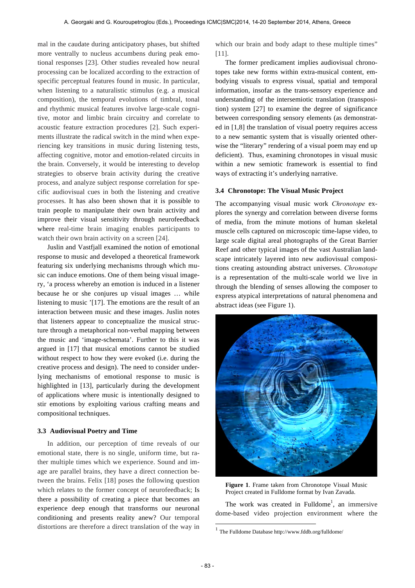mal in the caudate during anticipatory phases, but shifted more ventrally to nucleus accumbens during peak emotional responses [23]. Other studies revealed how neural processing can be localized according to the extraction of specific perceptual features found in music. In particular, when listening to a naturalistic stimulus (e.g. a musical composition), the temporal evolutions of timbral, tonal and rhythmic musical features involve large-scale cognitive, motor and limbic brain circuitry and correlate to acoustic feature extraction procedures [2]. Such experiments illustrate the radical switch in the mind when experiencing key transitions in music during listening tests, affecting cognitive, motor and emotion-related circuits in the brain. Conversely, it would be interesting to develop strategies to observe brain activity during the creative process, and analyze subject response correlation for specific audiovisual cues in both the listening and creative processes. It has also been shown that it is possible to train people to manipulate their own brain activity and improve their visual sensitivity through neurofeedback where real-time brain imaging enables participants to watch their own brain activity on a screen [24].

Juslin and Vastfjall examined the notion of emotional response to music and developed a theoretical framework featuring six underlying mechanisms through which music can induce emotions. One of them being visual imagery, 'a process whereby an emotion is induced in a listener because he or she conjures up visual images … while listening to music '[17]. The emotions are the result of an interaction between music and these images. Juslin notes that listeners appear to conceptualize the musical structure through a metaphorical non-verbal mapping between the music and 'image-schemata'. Further to this it was argued in [17] that musical emotions cannot be studied without respect to how they were evoked (i.e. during the creative process and design). The need to consider underlying mechanisms of emotional response to music is highlighted in [13], particularly during the development of applications where music is intentionally designed to stir emotions by exploiting various crafting means and compositional techniques.

#### **3.3 Audiovisual Poetry and Time**

In addition, our perception of time reveals of our emotional state, there is no single, uniform time, but rather multiple times which we experience. Sound and image are parallel brains, they have a direct connection between the brains. Felix [18] poses the following question which relates to the former concept of neurofeedback; Is there a possibility of creating a piece that becomes an experience deep enough that transforms our neuronal conditioning and presents reality anew? Our temporal distortions are therefore a direct translation of the way in which our brain and body adapt to these multiple times" [11].

The former predicament implies audiovisual chronotopes take new forms within extra-musical content, embodying visuals to express visual, spatial and temporal information, insofar as the trans-sensory experience and understanding of the intersemiotic translation (transposition) system [27] to examine the degree of significance between corresponding sensory elements (as demonstrated in [1,8] the translation of visual poetry requires access to a new semantic system that is visually oriented otherwise the "literary" rendering of a visual poem may end up deficient). Thus, examining chronotopes in visual music within a new semiotic framework is essential to find ways of extracting it's underlying narrative.

#### **3.4 Chronotope: The Visual Music Project**

The accompanying visual music work *Chronotope* explores the synergy and correlation between diverse forms of media, from the minute motions of human skeletal muscle cells captured on microscopic time-lapse video, to large scale digital areal photographs of the Great Barrier Reef and other typical images of the vast Australian landscape intricately layered into new audiovisual compositions creating astounding abstract universes. *Chronotope* is a representation of the multi-scale world we live in through the blending of senses allowing the composer to express atypical interpretations of natural phenomena and abstract ideas (see Figure 1).



**Figure 1**. Frame taken from Chronotope Visual Music Project created in Fulldome format by Ivan Zavada.

The work was created in Fulldome<sup>1</sup>, an immersive dome-based video projection environment where the

l

 $^{\rm 1}$  The Fulldome Database http://www.fddb.org/fulldome/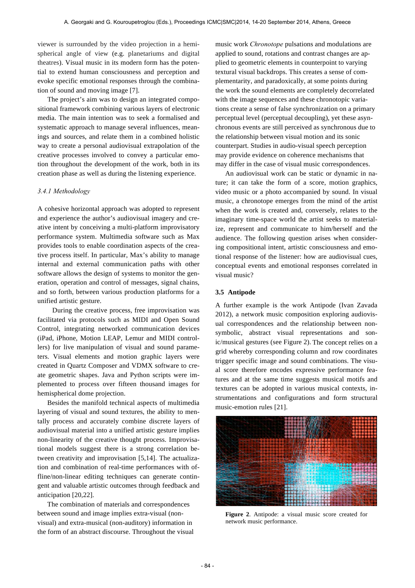viewer is surrounded by the video projection in a hemispherical angle of view (e.g. planetariums and digital theatres). Visual music in its modern form has the potential to extend human consciousness and perception and evoke specific emotional responses through the combination of sound and moving image [7].

The project's aim was to design an integrated compositional framework combining various layers of electronic media. The main intention was to seek a formalised and systematic approach to manage several influences, meanings and sources, and relate them in a combined holistic way to create a personal audiovisual extrapolation of the creative processes involved to convey a particular emotion throughout the development of the work, both in its creation phase as well as during the listening experience.

#### *3.4.1 Methodology*

A cohesive horizontal approach was adopted to represent and experience the author's audiovisual imagery and creative intent by conceiving a multi-platform improvisatory performance system. Multimedia software such as Max provides tools to enable coordination aspects of the creative process itself. In particular, Max's ability to manage internal and external communication paths with other software allows the design of systems to monitor the generation, operation and control of messages, signal chains, and so forth, between various production platforms for a unified artistic gesture.

During the creative process, free improvisation was facilitated via protocols such as MIDI and Open Sound Control, integrating networked communication devices (iPad, iPhone, Motion LEAP, Lemur and MIDI controllers) for live manipulation of visual and sound parameters. Visual elements and motion graphic layers were created in Quartz Composer and VDMX software to create geometric shapes. Java and Python scripts were implemented to process over fifteen thousand images for hemispherical dome projection.

Besides the manifold technical aspects of multimedia layering of visual and sound textures, the ability to mentally process and accurately combine discrete layers of audiovisual material into a unified artistic gesture implies non-linearity of the creative thought process. Improvisational models suggest there is a strong correlation between creativity and improvisation [5,14]. The actualization and combination of real-time performances with offline/non-linear editing techniques can generate contingent and valuable artistic outcomes through feedback and anticipation [20,22].

The combination of materials and correspondences between sound and image implies extra-visual (nonvisual) and extra-musical (non-auditory) information in the form of an abstract discourse. Throughout the visual music work *Chronotope* pulsations and modulations are applied to sound, rotations and contrast changes are applied to geometric elements in counterpoint to varying textural visual backdrops. This creates a sense of complementarity, and paradoxically, at some points during the work the sound elements are completely decorrelated with the image sequences and these chronotopic variations create a sense of false synchronization on a primary perceptual level (perceptual decoupling), yet these asynchronous events are still perceived as synchronous due to the relationship between visual motion and its sonic counterpart. Studies in audio-visual speech perception may provide evidence on coherence mechanisms that may differ in the case of visual music correspondences.

An audiovisual work can be static or dynamic in nature; it can take the form of a score, motion graphics, video music or a photo accompanied by sound. In visual music, a chronotope emerges from the mind of the artist when the work is created and, conversely, relates to the imaginary time-space world the artist seeks to materialize, represent and communicate to him/herself and the audience. The following question arises when considering compositional intent, artistic consciousness and emotional response of the listener: how are audiovisual cues, conceptual events and emotional responses correlated in visual music?

#### **3.5 Antipode**

A further example is the work Antipode (Ivan Zavada 2012), a network music composition exploring audiovisual correspondences and the relationship between nonsymbolic, abstract visual representations and sonic/musical gestures (see Figure 2). The concept relies on a grid whereby corresponding column and row coordinates trigger specific image and sound combinations. The visual score therefore encodes expressive performance features and at the same time suggests musical motifs and textures can be adopted in various musical contexts, instrumentations and configurations and form structural music-emotion rules [21].



**Figure 2**. Antipode: a visual music score created for network music performance.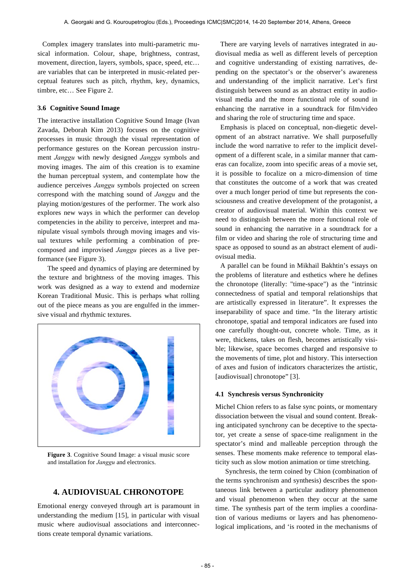Complex imagery translates into multi-parametric musical information. Colour, shape, brightness, contrast, movement, direction, layers, symbols, space, speed, etc… are variables that can be interpreted in music-related perceptual features such as pitch, rhythm, key, dynamics, timbre, etc… See Figure 2.

#### **3.6 Cognitive Sound Image**

The interactive installation Cognitive Sound Image (Ivan Zavada, Deborah Kim 2013) focuses on the cognitive processes in music through the visual representation of performance gestures on the Korean percussion instrument *Janggu* with newly designed *Janggu* symbols and moving images. The aim of this creation is to examine the human perceptual system, and contemplate how the audience perceives *Janggu* symbols projected on screen correspond with the matching sound of *Janggu* and the playing motion/gestures of the performer. The work also explores new ways in which the performer can develop competencies in the ability to perceive, interpret and manipulate visual symbols through moving images and visual textures while performing a combination of precomposed and improvised *Janggu* pieces as a live performance (see Figure 3).

The speed and dynamics of playing are determined by the texture and brightness of the moving images. This work was designed as a way to extend and modernize Korean Traditional Music. This is perhaps what rolling out of the piece means as you are engulfed in the immersive visual and rhythmic textures.



**Figure 3**. Cognitive Sound Image: a visual music score and installation for *Janggu* and electronics.

## **4. AUDIOVISUAL CHRONOTOPE**

Emotional energy conveyed through art is paramount in understanding the medium [15], in particular with visual music where audiovisual associations and interconnections create temporal dynamic variations.

There are varying levels of narratives integrated in audiovisual media as well as different levels of perception and cognitive understanding of existing narratives, depending on the spectator's or the observer's awareness and understanding of the implicit narrative. Let's first distinguish between sound as an abstract entity in audiovisual media and the more functional role of sound in enhancing the narrative in a soundtrack for film/video and sharing the role of structuring time and space.

Emphasis is placed on conceptual, non-diegetic development of an abstract narrative. We shall purposefully include the word narrative to refer to the implicit development of a different scale, in a similar manner that cameras can focalize, zoom into specific areas of a movie set, it is possible to focalize on a micro-dimension of time that constitutes the outcome of a work that was created over a much longer period of time but represents the consciousness and creative development of the protagonist, a creator of audiovisual material. Within this context we need to distinguish between the more functional role of sound in enhancing the narrative in a soundtrack for a film or video and sharing the role of structuring time and space as opposed to sound as an abstract element of audiovisual media.

A parallel can be found in Mikhail Bakhtin's essays on the problems of literature and esthetics where he defines the chronotope (literally: "time-space") as the "intrinsic connectedness of spatial and temporal relationships that are artistically expressed in literature". It expresses the inseparability of space and time. "In the literary artistic chronotope, spatial and temporal indicators are fused into one carefully thought-out, concrete whole. Time, as it were, thickens, takes on flesh, becomes artistically visible; likewise, space becomes charged and responsive to the movements of time, plot and history. This intersection of axes and fusion of indicators characterizes the artistic, [audiovisual] chronotope" [3].

#### **4.1 Synchresis versus Synchronicity**

Michel Chion refers to as false sync points, or momentary dissociation between the visual and sound content. Breaking anticipated synchrony can be deceptive to the spectator, yet create a sense of space-time realignment in the spectator's mind and malleable perception through the senses. These moments make reference to temporal elasticity such as slow motion animation or time stretching.

Synchresis, the term coined by Chion (combination of the terms synchronism and synthesis) describes the spontaneous link between a particular auditory phenomenon and visual phenomenon when they occur at the same time. The synthesis part of the term implies a coordination of various mediums or layers and has phenomenological implications, and 'is rooted in the mechanisms of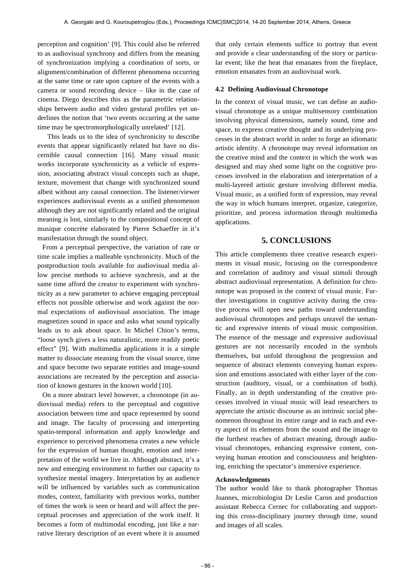perception and cognition' [9]. This could also be referred to as audiovisual synchrony and differs from the meaning of synchronization implying a coordination of sorts, or alignment/combination of different phenomena occurring at the same time or rate upon capture of the events with a camera or sound recording device – like in the case of cinema. Diego describes this as the parametric relationships between audio and video gestural profiles yet underlines the notion that 'two events occurring at the same time may be spectromorphologically unrelated' [12].

This leads us to the idea of synchronicity to describe events that appear significantly related but have no discernible causal connection [16]. Many visual music works incorporate synchronicity as a vehicle of expression, associating abstract visual concepts such as shape, texture, movement that change with synchronized sound albeit without any causal connection. The listener/viewer experiences audiovisual events as a unified phenomenon although they are not significantly related and the original meaning is lost, similarly to the compositional concept of musique concrète elaborated by Pierre Schaeffer in it's manifestation through the sound object.

From a perceptual perspective, the variation of rate or time scale implies a malleable synchronicity. Much of the postproduction tools available for audiovisual media allow precise methods to achieve synchresis, and at the same time afford the creator to experiment with synchronicity as a new parameter to achieve engaging perceptual effects not possible otherwise and work against the normal expectations of audiovisual association. The image magnetizes sound in space and asks what sound typically leads us to ask about space. In Michel Chion's terms, "loose synch gives a less naturalistic, more readily poetic effect" [9]. With multimedia applications it is a simple matter to dissociate meaning from the visual source, time and space become two separate entities and image-sound associations are recreated by the perception and association of known gestures in the known world [10].

On a more abstract level however, a chronotope (in audiovisual media) refers to the perceptual and cognitive association between time and space represented by sound and image. The faculty of processing and interpreting spatio-temporal information and apply knowledge and experience to perceived phenomena creates a new vehicle for the expression of human thought, emotion and interpretation of the world we live in. Although abstract, it's a new and emerging environment to further our capacity to synthesize mental imagery. Interpretation by an audience will be influenced by variables such as communication modes, context, familiarity with previous works, number of times the work is seen or heard and will affect the perceptual processes and appreciation of the work itself. It becomes a form of multimodal encoding, just like a narrative literary description of an event where it is assumed that only certain elements suffice to portray that event and provide a clear understanding of the story or particular event; like the heat that emanates from the fireplace, emotion emanates from an audiovisual work.

#### **4.2 Defining Audiovisual Chronotope**

In the context of visual music, we can define an audiovisual chronotope as a unique multisensory combination involving physical dimensions, namely sound, time and space, to express creative thought and its underlying processes in the abstract world in order to forge an idiomatic artistic identity. A chronotope may reveal information on the creative mind and the context in which the work was designed and may shed some light on the cognitive processes involved in the elaboration and interpretation of a multi-layered artistic gesture involving different media. Visual music, as a unified form of expression, may reveal the way in which humans interpret, organize, categorize, prioritize, and process information through multimedia applications.

## **5. CONCLUSIONS**

This article complements three creative research experiments in visual music, focusing on the correspondence and correlation of auditory and visual stimuli through abstract audiovisual representation. A definition for chronotope was proposed in the context of visual music. Further investigations in cognitive activity during the creative process will open new paths toward understanding audiovisual chronotopes and perhaps unravel the semantic and expressive intents of visual music composition. The essence of the message and expressive audiovisual gestures are not necessarily encoded in the symbols themselves, but unfold throughout the progression and sequence of abstract elements conveying human expression and emotions associated with either layer of the construction (auditory, visual, or a combination of both). Finally, an in depth understanding of the creative processes involved in visual music will lead researchers to appreciate the artistic discourse as an intrinsic social phenomenon throughout its entire range and in each and every aspect of its elements from the sound and the image to the furthest reaches of abstract meaning, through audiovisual chronotopes, enhancing expressive content, conveying human emotion and consciousness and heightening, enriching the spectator's immersive experience.

#### **Acknowledgments**

The author would like to thank photographer Thomas Joannes, microbiologist Dr Leslie Caron and production assistant Rebecca Cernec for collaborating and supporting this cross-disciplinary journey through time, sound and images of all scales.